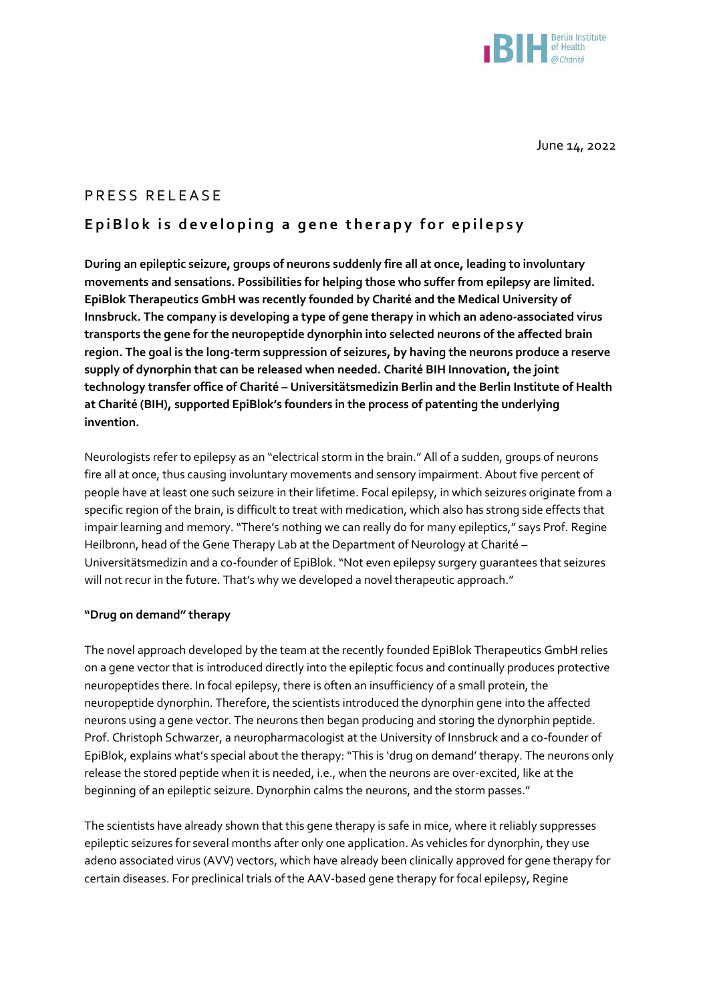

June 14, 2022

## PRESS RELEASE

## EpiBlok is developing a gene therapy for epilepsy

**During an epileptic seizure, groups of neurons suddenly fire all at once, leading to involuntary movements and sensations. Possibilities for helping those who suffer from epilepsy are limited. EpiBlok Therapeutics GmbH was recently founded by Charité and the Medical University of Innsbruck. The company is developing a type of gene therapy in which an adeno-associated virus transports the gene for the neuropeptide dynorphin into selected neurons of the affected brain region. The goal is the long-term suppression of seizures, by having the neurons produce a reserve supply of dynorphin that can be released when needed. Charité BIH Innovation, the joint technology transfer office of Charité – Universitätsmedizin Berlin and the Berlin Institute of Health at Charité (BIH), supported EpiBlok's founders in the process of patenting the underlying invention.**

Neurologists refer to epilepsy as an "electrical storm in the brain." All of a sudden, groups of neurons fire all at once, thus causing involuntary movements and sensory impairment. About five percent of people have at least one such seizure in their lifetime. Focal epilepsy, in which seizures originate from a specific region of the brain, is difficult to treat with medication, which also has strong side effects that impair learning and memory. "There's nothing we can really do for many epileptics," says Prof. Regine Heilbronn, head of the Gene Therapy Lab at the Department of Neurology at Charité – Universitätsmedizin and a co-founder of EpiBlok. "Not even epilepsy surgery guarantees that seizures will not recur in the future. That's why we developed a novel therapeutic approach."

## **"Drug on demand" therapy**

The novel approach developed by the team at the recently founded EpiBlok Therapeutics GmbH relies on a gene vector that is introduced directly into the epileptic focus and continually produces protective neuropeptides there. In focal epilepsy, there is often an insufficiency of a small protein, the neuropeptide dynorphin. Therefore, the scientists introduced the dynorphin gene into the affected neurons using a gene vector. The neurons then began producing and storing the dynorphin peptide. Prof. Christoph Schwarzer, a neuropharmacologist at the University of Innsbruck and a co-founder of EpiBlok, explains what's special about the therapy: "This is 'drug on demand' therapy. The neurons only release the stored peptide when it is needed, i.e., when the neurons are over-excited, like at the beginning of an epileptic seizure. Dynorphin calms the neurons, and the storm passes."

The scientists have already shown that this gene therapy is safe in mice, where it reliably suppresses epileptic seizures for several months after only one application. As vehicles for dynorphin, they use adeno associated virus (AVV) vectors, which have already been clinically approved for gene therapy for certain diseases. For preclinical trials of the AAV-based gene therapy for focal epilepsy, Regine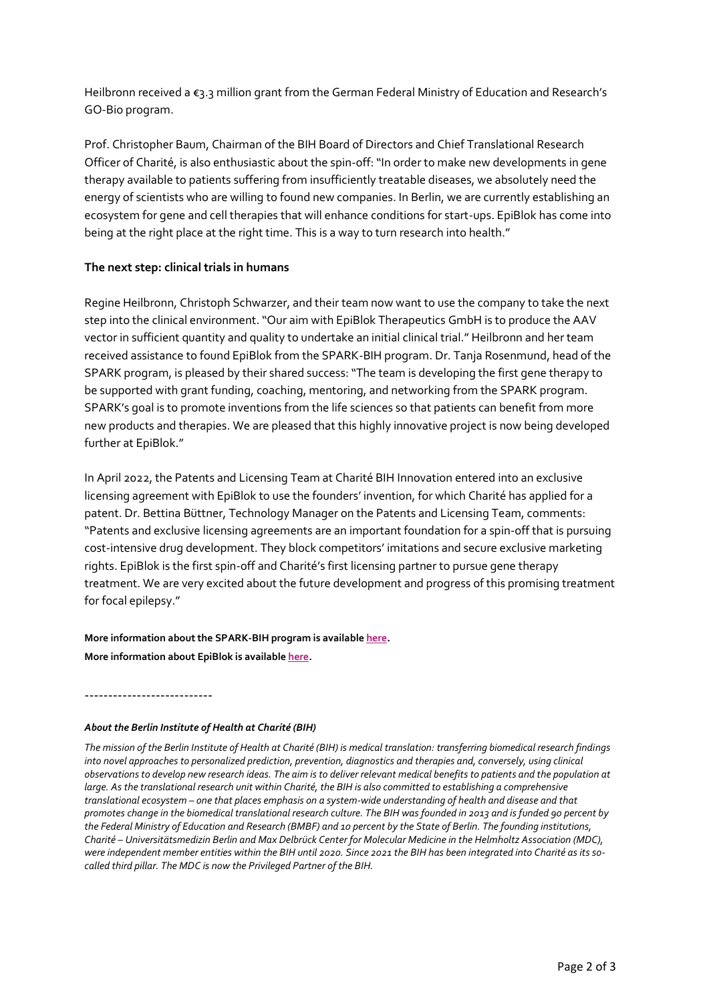Heilbronn received a €3.3 million grant from the German Federal Ministry of Education and Research's GO-Bio program.

Prof. Christopher Baum, Chairman of the BIH Board of Directors and Chief Translational Research Officer of Charité, is also enthusiastic about the spin-off: "In order to make new developments in gene therapy available to patients suffering from insufficiently treatable diseases, we absolutely need the energy of scientists who are willing to found new companies. In Berlin, we are currently establishing an ecosystem for gene and cell therapies that will enhance conditions for start-ups. EpiBlok has come into being at the right place at the right time. This is a way to turn research into health."

## **The next step: clinical trials in humans**

Regine Heilbronn, Christoph Schwarzer, and their team now want to use the company to take the next step into the clinical environment. "Our aim with EpiBlok Therapeutics GmbH is to produce the AAV vector in sufficient quantity and quality to undertake an initial clinical trial." Heilbronn and her team received assistance to found EpiBlok from the SPARK-BIH program. Dr. Tanja Rosenmund, head of the SPARK program, is pleased by their shared success: "The team is developing the first gene therapy to be supported with grant funding, coaching, mentoring, and networking from the SPARK program. SPARK's goal is to promote inventions from the life sciences so that patients can benefit from more new products and therapies. We are pleased that this highly innovative project is now being developed further at EpiBlok."

In April 2022, the Patents and Licensing Team at Charité BIH Innovation entered into an exclusive licensing agreement with EpiBlok to use the founders' invention, for which Charité has applied for a patent. Dr. Bettina Büttner, Technology Manager on the Patents and Licensing Team, comments: "Patents and exclusive licensing agreements are an important foundation for a spin-off that is pursuing cost-intensive drug development. They block competitors' imitations and secure exclusive marketing rights. EpiBlok is the first spin-off and Charité's first licensing partner to pursue gene therapy treatment. We are very excited about the future development and progress of this promising treatment for focal epilepsy."

**More information about the SPARK-BIH program is available [here](https://www.bihealth.org/en/translation/innovation-enabler/innovations/spark-bih)**. **More information about EpiBlok is available [here](https://www.go-bio.de/gobio/en/projects/_documents/gene-therapy-to-fight-epilepsy.html)**.

*About the Berlin Institute of Health at Charité (BIH)*

---------------------------

*The mission of the Berlin Institute of Health at Charité (BIH) is medical translation: transferring biomedical research findings into novel approaches to personalized prediction, prevention, diagnostics and therapies and, conversely, using clinical observations to develop new research ideas. The aim is to deliver relevant medical benefits to patients and the population at large. As the translational research unit within Charité, the BIH is also committed to establishing a comprehensive translational ecosystem – one that places emphasis on a system-wide understanding of health and disease and that promotes change in the biomedical translational research culture. The BIH was founded in 2013 and is funded 90 percent by the Federal Ministry of Education and Research (BMBF) and 10 percent by the State of Berlin. The founding institutions, Charité – Universitätsmedizin Berlin and Max Delbrück Center for Molecular Medicine in the Helmholtz Association (MDC), were independent member entities within the BIH until 2020. Since 2021 the BIH has been integrated into Charité as its socalled third pillar. The MDC is now the Privileged Partner of the BIH.*